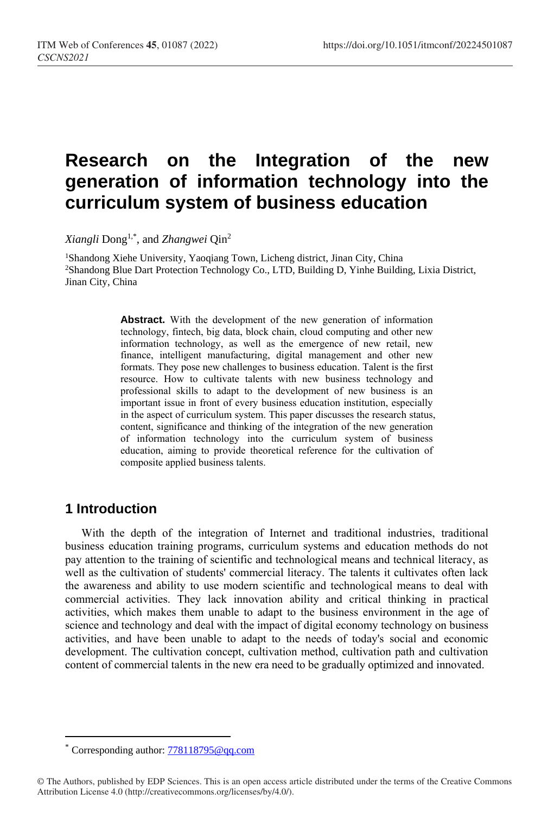# **Research on the Integration of the new generation of information technology into the curriculum system of business education**

*Xiangli* Dong1,\* , and *Zhangwei* Qin<sup>2</sup>

<sup>1</sup>Shandong Xiehe University, Yaoqiang Town, Licheng district, Jinan City, China <sup>2</sup>Shandong Blue Dart Protection Technology Co., LTD, Building D, Yinhe Building, Lixia District, Jinan City, China

> **Abstract.** With the development of the new generation of information technology, fintech, big data, block chain, cloud computing and other new information technology, as well as the emergence of new retail, new finance, intelligent manufacturing, digital management and other new formats. They pose new challenges to business education. Talent is the first resource. How to cultivate talents with new business technology and professional skills to adapt to the development of new business is an important issue in front of every business education institution, especially in the aspect of curriculum system. This paper discusses the research status, content, significance and thinking of the integration of the new generation of information technology into the curriculum system of business education, aiming to provide theoretical reference for the cultivation of composite applied business talents.

### **1 Introduction**

 $\overline{a}$ 

With the depth of the integration of Internet and traditional industries, traditional business education training programs, curriculum systems and education methods do not pay attention to the training of scientific and technological means and technical literacy, as well as the cultivation of students' commercial literacy. The talents it cultivates often lack the awareness and ability to use modern scientific and technological means to deal with commercial activities. They lack innovation ability and critical thinking in practical activities, which makes them unable to adapt to the business environment in the age of science and technology and deal with the impact of digital economy technology on business activities, and have been unable to adapt to the needs of today's social and economic development. The cultivation concept, cultivation method, cultivation path and cultivation content of commercial talents in the new era need to be gradually optimized and innovated.

Corresponding author: [778118795@qq.com](mailto:778118795@qq.com)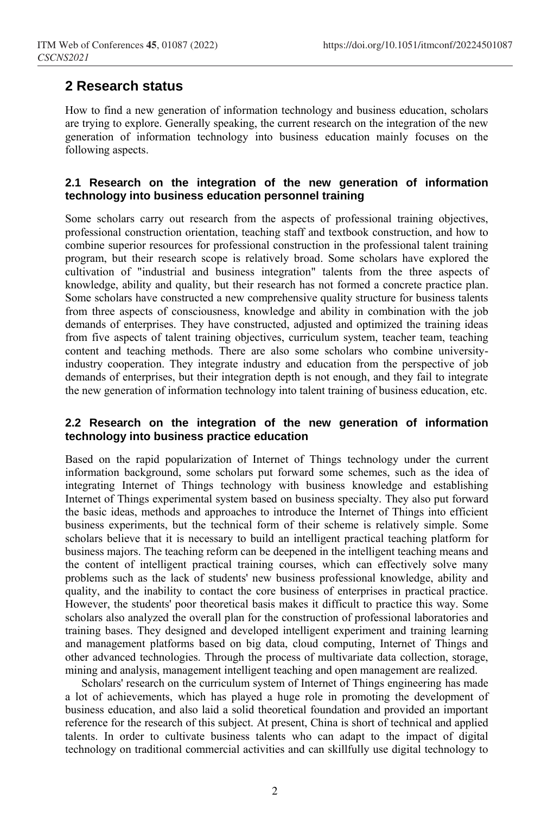### **2 Research status**

How to find a new generation of information technology and business education, scholars are trying to explore. Generally speaking, the current research on the integration of the new generation of information technology into business education mainly focuses on the following aspects.

#### **2.1 Research on the integration of the new generation of information technology into business education personnel training**

Some scholars carry out research from the aspects of professional training objectives, professional construction orientation, teaching staff and textbook construction, and how to combine superior resources for professional construction in the professional talent training program, but their research scope is relatively broad. Some scholars have explored the cultivation of "industrial and business integration" talents from the three aspects of knowledge, ability and quality, but their research has not formed a concrete practice plan. Some scholars have constructed a new comprehensive quality structure for business talents from three aspects of consciousness, knowledge and ability in combination with the job demands of enterprises. They have constructed, adjusted and optimized the training ideas from five aspects of talent training objectives, curriculum system, teacher team, teaching content and teaching methods. There are also some scholars who combine universityindustry cooperation. They integrate industry and education from the perspective of job demands of enterprises, but their integration depth is not enough, and they fail to integrate the new generation of information technology into talent training of business education, etc.

#### **2.2 Research on the integration of the new generation of information technology into business practice education**

Based on the rapid popularization of Internet of Things technology under the current information background, some scholars put forward some schemes, such as the idea of integrating Internet of Things technology with business knowledge and establishing Internet of Things experimental system based on business specialty. They also put forward the basic ideas, methods and approaches to introduce the Internet of Things into efficient business experiments, but the technical form of their scheme is relatively simple. Some scholars believe that it is necessary to build an intelligent practical teaching platform for business majors. The teaching reform can be deepened in the intelligent teaching means and the content of intelligent practical training courses, which can effectively solve many problems such as the lack of students' new business professional knowledge, ability and quality, and the inability to contact the core business of enterprises in practical practice. However, the students' poor theoretical basis makes it difficult to practice this way. Some scholars also analyzed the overall plan for the construction of professional laboratories and training bases. They designed and developed intelligent experiment and training learning and management platforms based on big data, cloud computing, Internet of Things and other advanced technologies. Through the process of multivariate data collection, storage, mining and analysis, management intelligent teaching and open management are realized.

Scholars' research on the curriculum system of Internet of Things engineering has made a lot of achievements, which has played a huge role in promoting the development of business education, and also laid a solid theoretical foundation and provided an important reference for the research of this subject. At present, China is short of technical and applied talents. In order to cultivate business talents who can adapt to the impact of digital technology on traditional commercial activities and can skillfully use digital technology to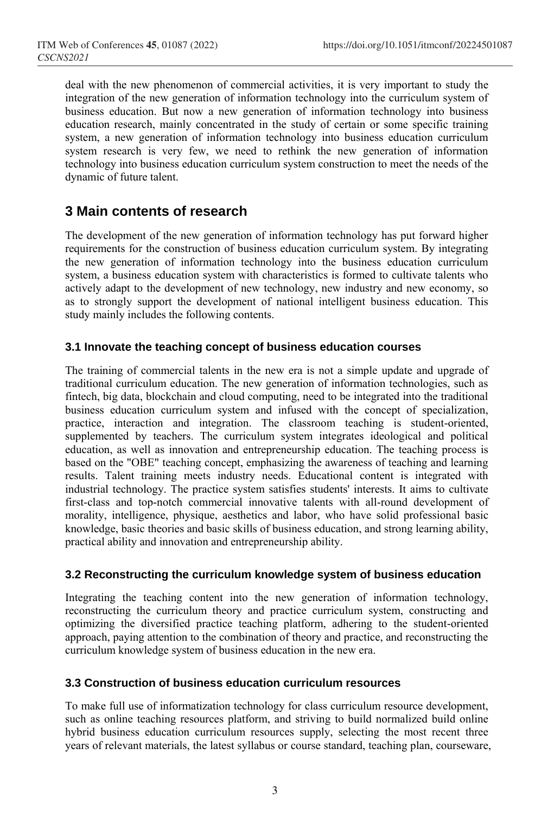deal with the new phenomenon of commercial activities, it is very important to study the integration of the new generation of information technology into the curriculum system of business education. But now a new generation of information technology into business education research, mainly concentrated in the study of certain or some specific training system, a new generation of information technology into business education curriculum system research is very few, we need to rethink the new generation of information technology into business education curriculum system construction to meet the needs of the dynamic of future talent.

### **3 Main contents of research**

The development of the new generation of information technology has put forward higher requirements for the construction of business education curriculum system. By integrating the new generation of information technology into the business education curriculum system, a business education system with characteristics is formed to cultivate talents who actively adapt to the development of new technology, new industry and new economy, so as to strongly support the development of national intelligent business education. This study mainly includes the following contents.

#### **3.1 Innovate the teaching concept of business education courses**

The training of commercial talents in the new era is not a simple update and upgrade of traditional curriculum education. The new generation of information technologies, such as fintech, big data, blockchain and cloud computing, need to be integrated into the traditional business education curriculum system and infused with the concept of specialization, practice, interaction and integration. The classroom teaching is student-oriented, supplemented by teachers. The curriculum system integrates ideological and political education, as well as innovation and entrepreneurship education. The teaching process is based on the "OBE" teaching concept, emphasizing the awareness of teaching and learning results. Talent training meets industry needs. Educational content is integrated with industrial technology. The practice system satisfies students' interests. It aims to cultivate first-class and top-notch commercial innovative talents with all-round development of morality, intelligence, physique, aesthetics and labor, who have solid professional basic knowledge, basic theories and basic skills of business education, and strong learning ability, practical ability and innovation and entrepreneurship ability.

#### **3.2 Reconstructing the curriculum knowledge system of business education**

Integrating the teaching content into the new generation of information technology, reconstructing the curriculum theory and practice curriculum system, constructing and optimizing the diversified practice teaching platform, adhering to the student-oriented approach, paying attention to the combination of theory and practice, and reconstructing the curriculum knowledge system of business education in the new era.

#### **3.3 Construction of business education curriculum resources**

To make full use of informatization technology for class curriculum resource development, such as online teaching resources platform, and striving to build normalized build online hybrid business education curriculum resources supply, selecting the most recent three years of relevant materials, the latest syllabus or course standard, teaching plan, courseware,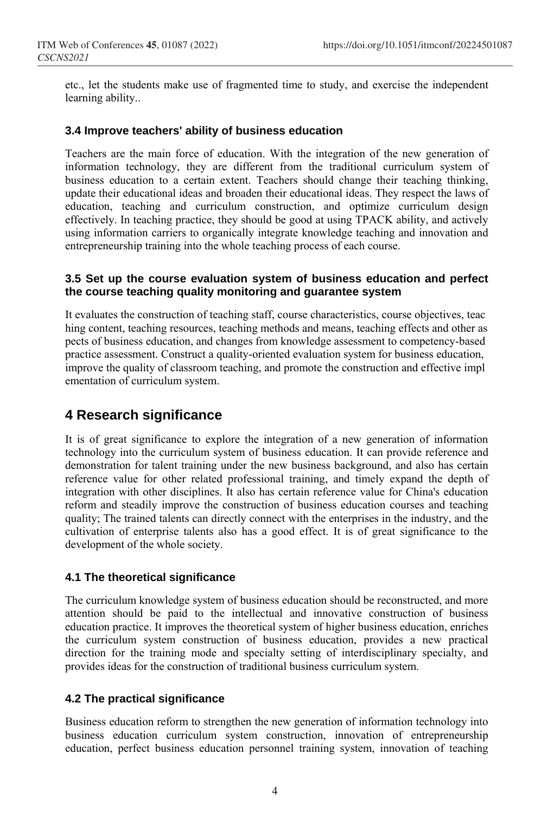etc., let the students make use of fragmented time to study, and exercise the independent learning ability..

#### **3.4 Improve teachers' ability of business education**

Teachers are the main force of education. With the integration of the new generation of information technology, they are different from the traditional curriculum system of business education to a certain extent. Teachers should change their teaching thinking, update their educational ideas and broaden their educational ideas. They respect the laws of education, teaching and curriculum construction, and optimize curriculum design effectively. In teaching practice, they should be good at using TPACK ability, and actively using information carriers to organically integrate knowledge teaching and innovation and entrepreneurship training into the whole teaching process of each course.

#### **3.5 Set up the course evaluation system of business education and perfect the course teaching quality monitoring and guarantee system**

It evaluates the construction of teaching staff, course characteristics, course objectives, teac hing content, teaching resources, teaching methods and means, teaching effects and other as pects of business education, and changes from knowledge assessment to competency-based practice assessment. Construct a quality-oriented evaluation system for business education, improve the quality of classroom teaching, and promote the construction and effective impl ementation of curriculum system.

### **4 Research significance**

It is of great significance to explore the integration of a new generation of information technology into the curriculum system of business education. It can provide reference and demonstration for talent training under the new business background, and also has certain reference value for other related professional training, and timely expand the depth of integration with other disciplines. It also has certain reference value for China's education reform and steadily improve the construction of business education courses and teaching quality; The trained talents can directly connect with the enterprises in the industry, and the cultivation of enterprise talents also has a good effect. It is of great significance to the development of the whole society.

#### **4.1 The theoretical significance**

The curriculum knowledge system of business education should be reconstructed, and more attention should be paid to the intellectual and innovative construction of business education practice. It improves the theoretical system of higher business education, enriches the curriculum system construction of business education, provides a new practical direction for the training mode and specialty setting of interdisciplinary specialty, and provides ideas for the construction of traditional business curriculum system.

#### **4.2 The practical significance**

Business education reform to strengthen the new generation of information technology into business education curriculum system construction, innovation of entrepreneurship education, perfect business education personnel training system, innovation of teaching